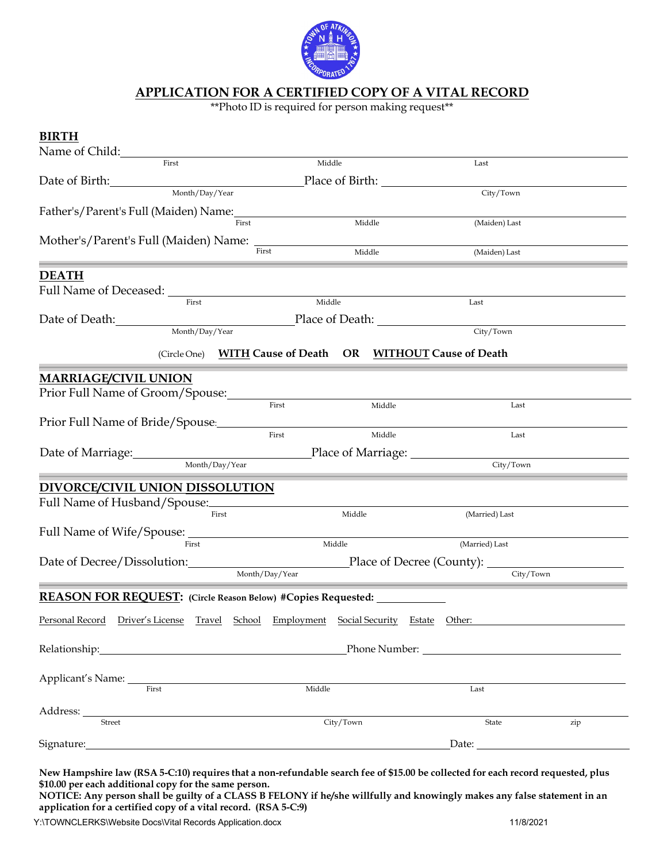

## **APPLICATION FOR A CERTIFIED COPY OF A VITAL RECORD**

\*\*Photo ID is required for person making request\*\*

| <b>BIRTH</b>                                                                              |                             |                                                                      |                 |        |                                                            |     |
|-------------------------------------------------------------------------------------------|-----------------------------|----------------------------------------------------------------------|-----------------|--------|------------------------------------------------------------|-----|
| Name of Child:                                                                            |                             |                                                                      |                 |        |                                                            |     |
|                                                                                           | First                       |                                                                      | Middle          |        | Last                                                       |     |
| Date of Birth: Month/Day/Year                                                             |                             |                                                                      | Place of Birth: |        |                                                            |     |
|                                                                                           |                             |                                                                      |                 |        | City/Town                                                  |     |
| Father's/Parent's Full (Maiden) Name:                                                     |                             |                                                                      |                 |        |                                                            |     |
|                                                                                           |                             | First                                                                |                 | Middle | (Maiden) Last                                              |     |
|                                                                                           |                             |                                                                      |                 |        |                                                            |     |
|                                                                                           |                             | First                                                                |                 | Middle | (Maiden) Last                                              |     |
| <b>DEATH</b>                                                                              |                             |                                                                      |                 |        |                                                            |     |
|                                                                                           |                             |                                                                      |                 |        |                                                            |     |
|                                                                                           | First                       |                                                                      | Middle          |        | Last                                                       |     |
| Date of Death:                                                                            |                             |                                                                      |                 |        |                                                            |     |
|                                                                                           | Month/Day/Year              |                                                                      |                 |        | City/Town                                                  |     |
|                                                                                           |                             |                                                                      |                 |        |                                                            |     |
|                                                                                           |                             |                                                                      |                 |        | (Circle One) WITH Cause of Death OR WITHOUT Cause of Death |     |
| <b>MARRIAGE/CIVIL UNION</b>                                                               |                             |                                                                      |                 |        |                                                            |     |
| Prior Full Name of Groom/Spouse:                                                          |                             |                                                                      |                 |        |                                                            |     |
|                                                                                           |                             | First                                                                |                 | Middle | Last                                                       |     |
| Prior Full Name of Bride/Spouse:                                                          |                             |                                                                      |                 |        |                                                            |     |
|                                                                                           |                             | First                                                                |                 | Middle | Last                                                       |     |
| Date of Marriage: <u>Month/Day/Year</u> Place of Marriage: <u>North/Day/Year</u>          |                             |                                                                      |                 |        |                                                            |     |
|                                                                                           |                             |                                                                      |                 |        | City/Town                                                  |     |
| DIVORCE/CIVIL UNION DISSOLUTION                                                           |                             |                                                                      |                 |        |                                                            |     |
|                                                                                           |                             |                                                                      |                 |        |                                                            |     |
|                                                                                           |                             | First                                                                | Middle          |        | (Married) Last                                             |     |
|                                                                                           |                             |                                                                      |                 |        |                                                            |     |
| Full Name of Wife/Spouse:                                                                 |                             |                                                                      |                 |        | (Married) Last                                             |     |
|                                                                                           |                             |                                                                      |                 |        |                                                            |     |
| Date of Decree/Dissolution: Place of Decree (County): 2014<br>City/Town<br>Month/Day/Year |                             |                                                                      |                 |        |                                                            |     |
|                                                                                           |                             |                                                                      |                 |        |                                                            |     |
| <b>REASON FOR REQUEST:</b> (Circle Reason Below) #Copies Requested: ___________________   |                             |                                                                      |                 |        |                                                            |     |
| Personal Record                                                                           |                             | ord Driver's License Travel School Employment Social Security Estate |                 |        | Other:                                                     |     |
|                                                                                           |                             |                                                                      |                 |        |                                                            |     |
|                                                                                           | Relationship: Nelationship: |                                                                      |                 |        |                                                            |     |
|                                                                                           |                             |                                                                      |                 |        |                                                            |     |
|                                                                                           |                             |                                                                      |                 |        |                                                            |     |
| First                                                                                     |                             |                                                                      | Middle          |        | Last                                                       |     |
|                                                                                           |                             |                                                                      |                 |        |                                                            |     |
| Street                                                                                    |                             |                                                                      | City/Town       |        | State                                                      | zip |
| Signature: Signature:                                                                     |                             |                                                                      |                 |        |                                                            |     |
|                                                                                           |                             |                                                                      |                 |        |                                                            |     |

New Hampshire law (RSA 5-C:10) requires that a non-refundable search fee of \$15.00 be collected for each record requested, plus **\$10.00 per each additional copy for the same person.**

**NOTICE: Any person shall be guilty of a CLASS B FELONY if he/she willfully and knowingly makes any false statement in an application for a certified copy of a vital record. (RSA 5-C:9)**